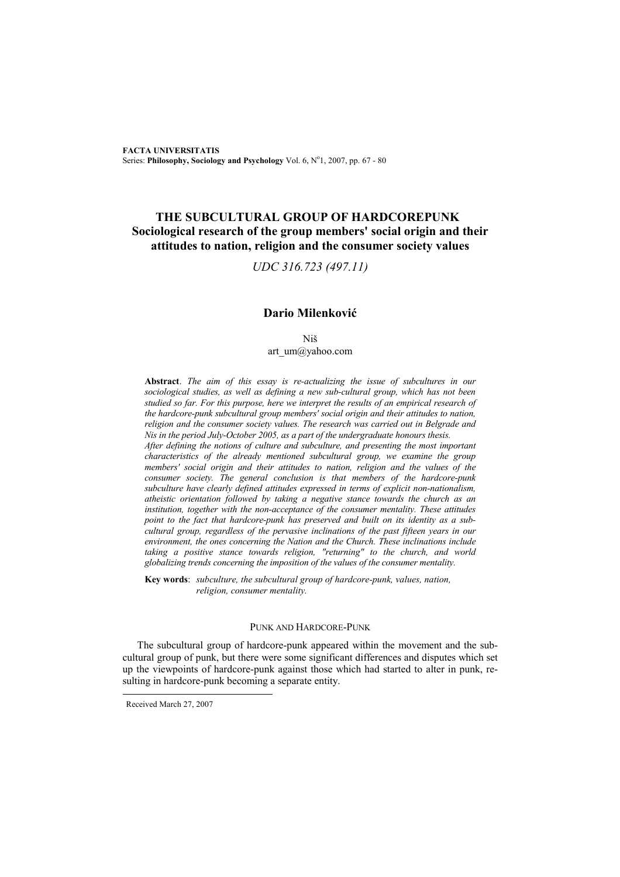**FACTA UNIVERSITATIS** Series: Philosophy, Sociology and Psychology Vol. 6, Nº1, 2007, pp. 67 - 80

## **THE SUBCULTURAL GROUP OF HARDCOREPUNK Sociological research of the group members' social origin and their attitudes to nation, religion and the consumer society values**

*UDC 316.723 (497.11)* 

## **Dario Milenković**

Niš art\_um@yahoo.com

**Abstract**. *The aim of this essay is re-actualizing the issue of subcultures in our sociological studies, as well as defining a new sub-cultural group, which has not been studied so far. For this purpose, here we interpret the results of an empirical research of the hardcore-punk subcultural group members' social origin and their attitudes to nation, religion and the consumer society values. The research was carried out in Belgrade and Nis in the period July-October 2005, as a part of the undergraduate honours thesis.* 

*After defining the notions of culture and subculture, and presenting the most important characteristics of the already mentioned subcultural group, we examine the group members' social origin and their attitudes to nation, religion and the values of the consumer society. The general conclusion is that members of the hardcore-punk subculture have clearly defined attitudes expressed in terms of explicit non-nationalism, atheistic orientation followed by taking a negative stance towards the church as an institution, together with the non-acceptance of the consumer mentality. These attitudes point to the fact that hardcore-punk has preserved and built on its identity as a subcultural group, regardless of the pervasive inclinations of the past fifteen years in our environment, the ones concerning the Nation and the Church. These inclinations include taking a positive stance towards religion, "returning" to the church, and world globalizing trends concerning the imposition of the values of the consumer mentality.* 

**Key words**: *subculture, the subcultural group of hardcore-punk, values, nation, religion, consumer mentality.* 

## PUNK AND HARDCORE-PUNK

The subcultural group of hardcore-punk appeared within the movement and the subcultural group of punk, but there were some significant differences and disputes which set up the viewpoints of hardcore-punk against those which had started to alter in punk, resulting in hardcore-punk becoming a separate entity.

Received March 27, 2007

l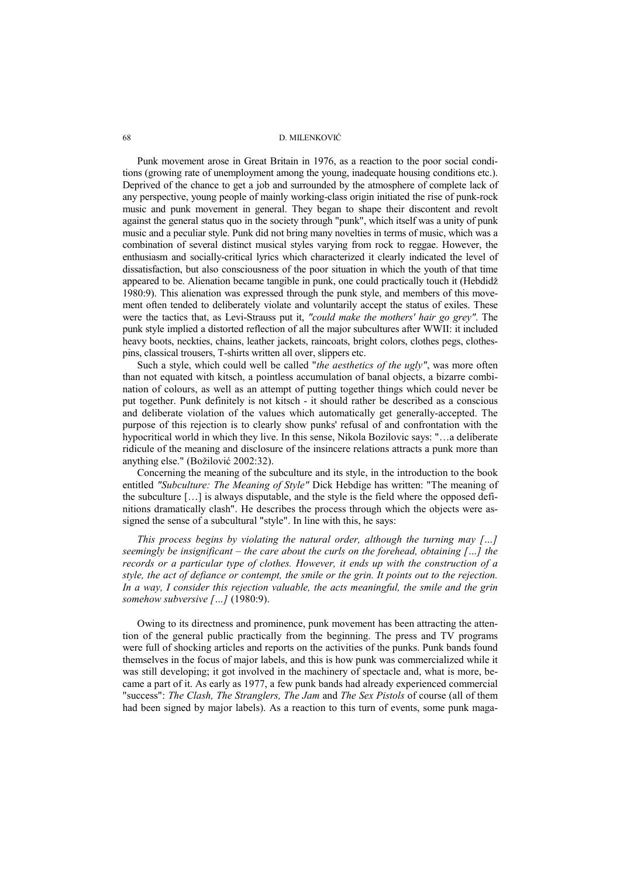Punk movement arose in Great Britain in 1976, as a reaction to the poor social conditions (growing rate of unemployment among the young, inadequate housing conditions etc.). Deprived of the chance to get a job and surrounded by the atmosphere of complete lack of any perspective, young people of mainly working-class origin initiated the rise of punk-rock music and punk movement in general. They began to shape their discontent and revolt against the general status quo in the society through "punk", which itself was a unity of punk music and a peculiar style. Punk did not bring many novelties in terms of music, which was a combination of several distinct musical styles varying from rock to reggae. However, the enthusiasm and socially-critical lyrics which characterized it clearly indicated the level of dissatisfaction, but also consciousness of the poor situation in which the youth of that time appeared to be. Alienation became tangible in punk, one could practically touch it (Hebdidž 1980:9). This alienation was expressed through the punk style, and members of this movement often tended to deliberately violate and voluntarily accept the status of exiles. These were the tactics that, as Levi-Strauss put it, *"could make the mothers' hair go grey"*. The punk style implied a distorted reflection of all the major subcultures after WWII: it included heavy boots, neckties, chains, leather jackets, raincoats, bright colors, clothes pegs, clothespins, classical trousers, T-shirts written all over, slippers etc.

Such a style, which could well be called "*the aesthetics of the ugly"*, was more often than not equated with kitsch, a pointless accumulation of banal objects, a bizarre combination of colours, as well as an attempt of putting together things which could never be put together. Punk definitely is not kitsch - it should rather be described as a conscious and deliberate violation of the values which automatically get generally-accepted. The purpose of this rejection is to clearly show punks' refusal of and confrontation with the hypocritical world in which they live. In this sense, Nikola Bozilovic says: "…a deliberate ridicule of the meaning and disclosure of the insincere relations attracts a punk more than anything else." (Božilović 2002:32).

Concerning the meaning of the subculture and its style, in the introduction to the book entitled *"Subculture: The Meaning of Style"* Dick Hebdige has written: "The meaning of the subculture […] is always disputable, and the style is the field where the opposed definitions dramatically clash". He describes the process through which the objects were assigned the sense of a subcultural "style". In line with this, he says:

*This process begins by violating the natural order, although the turning may […] seemingly be insignificant – the care about the curls on the forehead, obtaining […] the records or a particular type of clothes. However, it ends up with the construction of a style, the act of defiance or contempt, the smile or the grin. It points out to the rejection. In a way, I consider this rejection valuable, the acts meaningful, the smile and the grin somehow subversive […]* (1980:9).

Owing to its directness and prominence, punk movement has been attracting the attention of the general public practically from the beginning. The press and TV programs were full of shocking articles and reports on the activities of the punks. Punk bands found themselves in the focus of major labels, and this is how punk was commercialized while it was still developing; it got involved in the machinery of spectacle and, what is more, became a part of it. As early as 1977, a few punk bands had already experienced commercial "success": *The Clash, The Stranglers, The Jam* and *The Sex Pistols* of course (all of them had been signed by major labels). As a reaction to this turn of events, some punk maga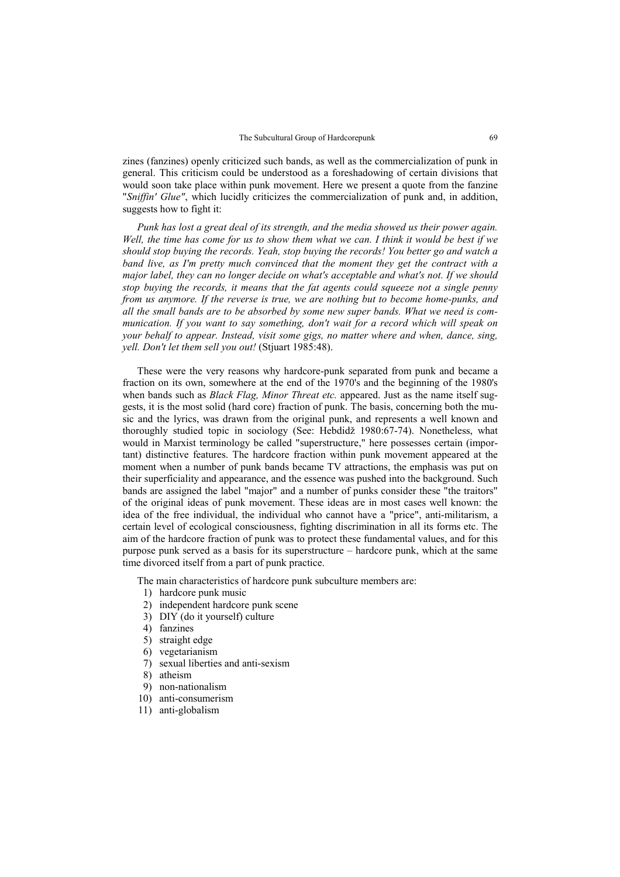zines (fanzines) openly criticized such bands, as well as the commercialization of punk in general. This criticism could be understood as a foreshadowing of certain divisions that would soon take place within punk movement. Here we present a quote from the fanzine "*Sniffin' Glue"*, which lucidly criticizes the commercialization of punk and, in addition, suggests how to fight it:

*Punk has lost a great deal of its strength, and the media showed us their power again. Well, the time has come for us to show them what we can. I think it would be best if we should stop buying the records. Yeah, stop buying the records! You better go and watch a band live, as I'm pretty much convinced that the moment they get the contract with a major label, they can no longer decide on what's acceptable and what's not. If we should stop buying the records, it means that the fat agents could squeeze not a single penny from us anymore. If the reverse is true, we are nothing but to become home-punks, and all the small bands are to be absorbed by some new super bands. What we need is communication. If you want to say something, don't wait for a record which will speak on your behalf to appear. Instead, visit some gigs, no matter where and when, dance, sing, yell. Don't let them sell you out!* (Stjuart 1985:48).

These were the very reasons why hardcore-punk separated from punk and became a fraction on its own, somewhere at the end of the 1970's and the beginning of the 1980's when bands such as *Black Flag, Minor Threat etc.* appeared. Just as the name itself suggests, it is the most solid (hard core) fraction of punk. The basis, concerning both the music and the lyrics, was drawn from the original punk, and represents a well known and thoroughly studied topic in sociology (See: Hebdidž 1980:67-74). Nonetheless, what would in Marxist terminology be called "superstructure," here possesses certain (important) distinctive features. The hardcore fraction within punk movement appeared at the moment when a number of punk bands became TV attractions, the emphasis was put on their superficiality and appearance, and the essence was pushed into the background. Such bands are assigned the label "major" and a number of punks consider these "the traitors" of the original ideas of punk movement. These ideas are in most cases well known: the idea of the free individual, the individual who cannot have a "price", anti-militarism, a certain level of ecological consciousness, fighting discrimination in all its forms etc. The aim of the hardcore fraction of punk was to protect these fundamental values, and for this purpose punk served as a basis for its superstructure – hardcore punk, which at the same time divorced itself from a part of punk practice.

The main characteristics of hardcore punk subculture members are:

- 1) hardcore punk music
- 2) independent hardcore punk scene
- 3) DIY (do it yourself) culture
- 4) fanzines
- 5) straight edge
- 6) vegetarianism
- 7) sexual liberties and anti-sexism
- 8) atheism
- 9) non-nationalism
- 10) anti-consumerism
- 11) anti-globalism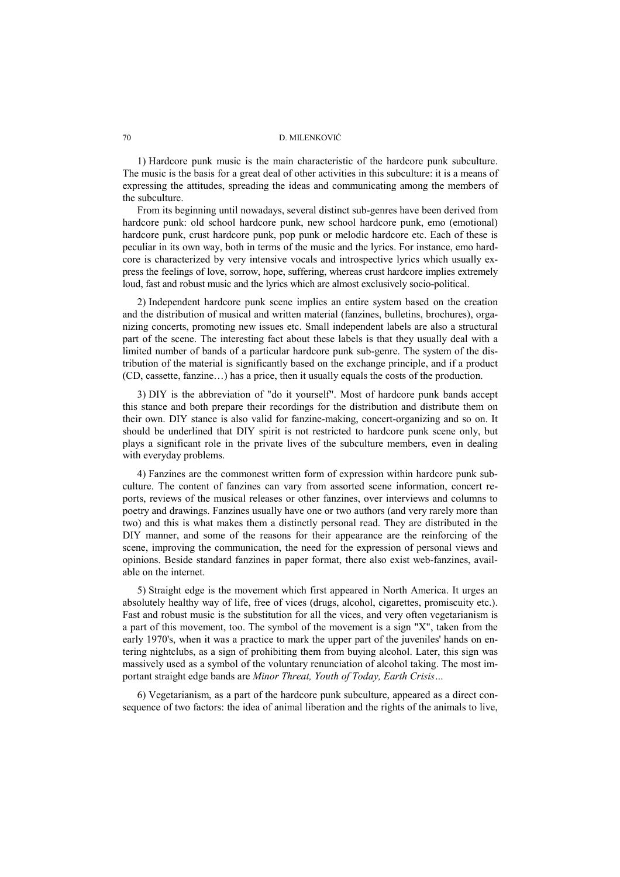1) Hardcore punk music is the main characteristic of the hardcore punk subculture. The music is the basis for a great deal of other activities in this subculture: it is a means of expressing the attitudes, spreading the ideas and communicating among the members of the subculture.

From its beginning until nowadays, several distinct sub-genres have been derived from hardcore punk: old school hardcore punk, new school hardcore punk, emo (emotional) hardcore punk, crust hardcore punk, pop punk or melodic hardcore etc. Each of these is peculiar in its own way, both in terms of the music and the lyrics. For instance, emo hardcore is characterized by very intensive vocals and introspective lyrics which usually express the feelings of love, sorrow, hope, suffering, whereas crust hardcore implies extremely loud, fast and robust music and the lyrics which are almost exclusively socio-political.

2) Independent hardcore punk scene implies an entire system based on the creation and the distribution of musical and written material (fanzines, bulletins, brochures), organizing concerts, promoting new issues etc. Small independent labels are also a structural part of the scene. The interesting fact about these labels is that they usually deal with a limited number of bands of a particular hardcore punk sub-genre. The system of the distribution of the material is significantly based on the exchange principle, and if a product (CD, cassette, fanzine…) has a price, then it usually equals the costs of the production.

3) DIY is the abbreviation of "do it yourself". Most of hardcore punk bands accept this stance and both prepare their recordings for the distribution and distribute them on their own. DIY stance is also valid for fanzine-making, concert-organizing and so on. It should be underlined that DIY spirit is not restricted to hardcore punk scene only, but plays a significant role in the private lives of the subculture members, even in dealing with everyday problems.

4) Fanzines are the commonest written form of expression within hardcore punk subculture. The content of fanzines can vary from assorted scene information, concert reports, reviews of the musical releases or other fanzines, over interviews and columns to poetry and drawings. Fanzines usually have one or two authors (and very rarely more than two) and this is what makes them a distinctly personal read. They are distributed in the DIY manner, and some of the reasons for their appearance are the reinforcing of the scene, improving the communication, the need for the expression of personal views and opinions. Beside standard fanzines in paper format, there also exist web-fanzines, available on the internet.

5) Straight edge is the movement which first appeared in North America. It urges an absolutely healthy way of life, free of vices (drugs, alcohol, cigarettes, promiscuity etc.). Fast and robust music is the substitution for all the vices, and very often vegetarianism is a part of this movement, too. The symbol of the movement is a sign "X", taken from the early 1970's, when it was a practice to mark the upper part of the juveniles' hands on entering nightclubs, as a sign of prohibiting them from buying alcohol. Later, this sign was massively used as a symbol of the voluntary renunciation of alcohol taking. The most important straight edge bands are *Minor Threat, Youth of Today, Earth Crisis…*

6) Vegetarianism, as a part of the hardcore punk subculture, appeared as a direct consequence of two factors: the idea of animal liberation and the rights of the animals to live,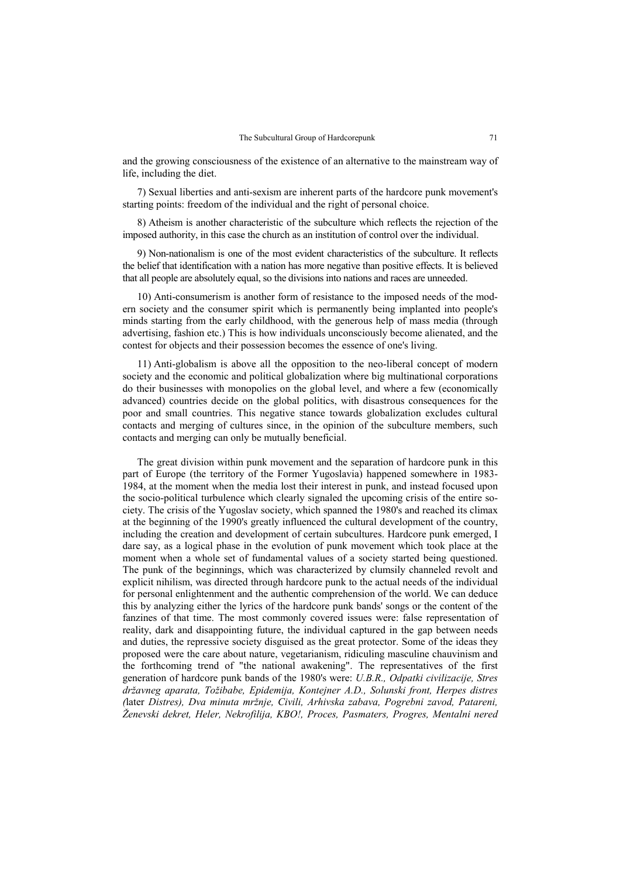and the growing consciousness of the existence of an alternative to the mainstream way of life, including the diet.

7) Sexual liberties and anti-sexism are inherent parts of the hardcore punk movement's starting points: freedom of the individual and the right of personal choice.

8) Atheism is another characteristic of the subculture which reflects the rejection of the imposed authority, in this case the church as an institution of control over the individual.

9) Non-nationalism is one of the most evident characteristics of the subculture. It reflects the belief that identification with a nation has more negative than positive effects. It is believed that all people are absolutely equal, so the divisions into nations and races are unneeded.

10) Anti-consumerism is another form of resistance to the imposed needs of the modern society and the consumer spirit which is permanently being implanted into people's minds starting from the early childhood, with the generous help of mass media (through advertising, fashion etc.) This is how individuals unconsciously become alienated, and the contest for objects and their possession becomes the essence of one's living.

11) Anti-globalism is above all the opposition to the neo-liberal concept of modern society and the economic and political globalization where big multinational corporations do their businesses with monopolies on the global level, and where a few (economically advanced) countries decide on the global politics, with disastrous consequences for the poor and small countries. This negative stance towards globalization excludes cultural contacts and merging of cultures since, in the opinion of the subculture members, such contacts and merging can only be mutually beneficial.

The great division within punk movement and the separation of hardcore punk in this part of Europe (the territory of the Former Yugoslavia) happened somewhere in 1983- 1984, at the moment when the media lost their interest in punk, and instead focused upon the socio-political turbulence which clearly signaled the upcoming crisis of the entire society. The crisis of the Yugoslav society, which spanned the 1980's and reached its climax at the beginning of the 1990's greatly influenced the cultural development of the country, including the creation and development of certain subcultures. Hardcore punk emerged, I dare say, as a logical phase in the evolution of punk movement which took place at the moment when a whole set of fundamental values of a society started being questioned. The punk of the beginnings, which was characterized by clumsily channeled revolt and explicit nihilism, was directed through hardcore punk to the actual needs of the individual for personal enlightenment and the authentic comprehension of the world. We can deduce this by analyzing either the lyrics of the hardcore punk bands' songs or the content of the fanzines of that time. The most commonly covered issues were: false representation of reality, dark and disappointing future, the individual captured in the gap between needs and duties, the repressive society disguised as the great protector. Some of the ideas they proposed were the care about nature, vegetarianism, ridiculing masculine chauvinism and the forthcoming trend of "the national awakening". The representatives of the first generation of hardcore punk bands of the 1980's were: *U.B.R., Odpatki civilizacije, Stres državneg aparata, Tožibabe, Epidemija, Kontejner A.D., Solunski front, Herpes distres (*later *Distres), Dva minuta mržnje, Civili, Arhivska zabava, Pogrebni zavod, Patareni, Ženevski dekret, Heler, Nekrofilija, KBO!, Proces, Pasmaters, Progres, Mentalni nered*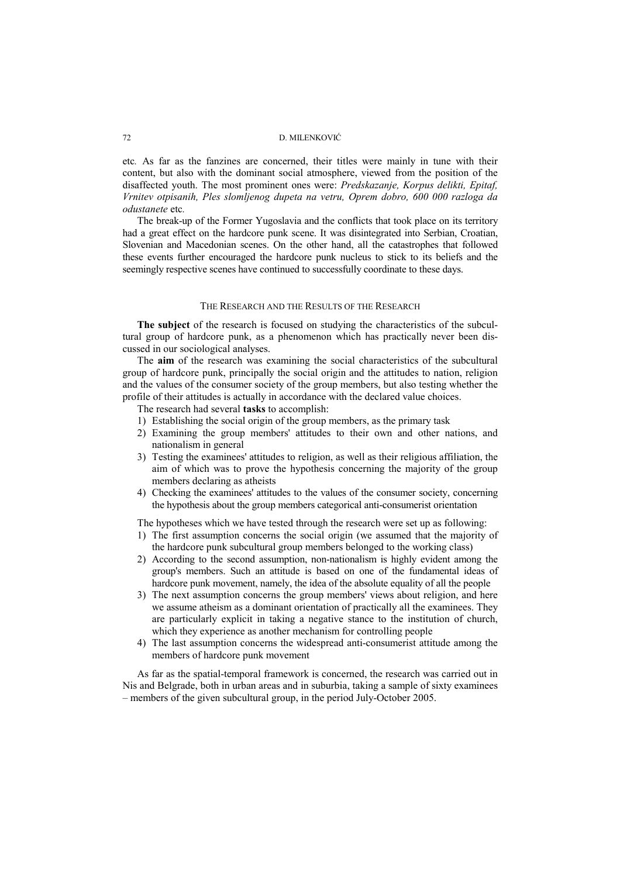etc*.* As far as the fanzines are concerned, their titles were mainly in tune with their content, but also with the dominant social atmosphere, viewed from the position of the disaffected youth. The most prominent ones were: *Predskazanje, Korpus delikti, Epitaf, Vrnitev otpisanih, Ples slomljenog dupeta na vetru, Oprem dobro, 600 000 razloga da odustanete* etc*.* 

The break-up of the Former Yugoslavia and the conflicts that took place on its territory had a great effect on the hardcore punk scene. It was disintegrated into Serbian, Croatian, Slovenian and Macedonian scenes. On the other hand, all the catastrophes that followed these events further encouraged the hardcore punk nucleus to stick to its beliefs and the seemingly respective scenes have continued to successfully coordinate to these days.

#### THE RESEARCH AND THE RESULTS OF THE RESEARCH

**The subject** of the research is focused on studying the characteristics of the subcultural group of hardcore punk, as a phenomenon which has practically never been discussed in our sociological analyses.

The **aim** of the research was examining the social characteristics of the subcultural group of hardcore punk, principally the social origin and the attitudes to nation, religion and the values of the consumer society of the group members, but also testing whether the profile of their attitudes is actually in accordance with the declared value choices.

The research had several **tasks** to accomplish:

- 1) Establishing the social origin of the group members, as the primary task
- 2) Examining the group members' attitudes to their own and other nations, and nationalism in general
- 3) Testing the examinees' attitudes to religion, as well as their religious affiliation, the aim of which was to prove the hypothesis concerning the majority of the group members declaring as atheists
- 4) Checking the examinees' attitudes to the values of the consumer society, concerning the hypothesis about the group members categorical anti-consumerist orientation

The hypotheses which we have tested through the research were set up as following:

- 1) The first assumption concerns the social origin (we assumed that the majority of the hardcore punk subcultural group members belonged to the working class)
- 2) According to the second assumption, non-nationalism is highly evident among the group's members. Such an attitude is based on one of the fundamental ideas of hardcore punk movement, namely, the idea of the absolute equality of all the people
- 3) The next assumption concerns the group members' views about religion, and here we assume atheism as a dominant orientation of practically all the examinees. They are particularly explicit in taking a negative stance to the institution of church, which they experience as another mechanism for controlling people
- 4) The last assumption concerns the widespread anti-consumerist attitude among the members of hardcore punk movement

As far as the spatial-temporal framework is concerned, the research was carried out in Nis and Belgrade, both in urban areas and in suburbia, taking a sample of sixty examinees – members of the given subcultural group, in the period July-October 2005.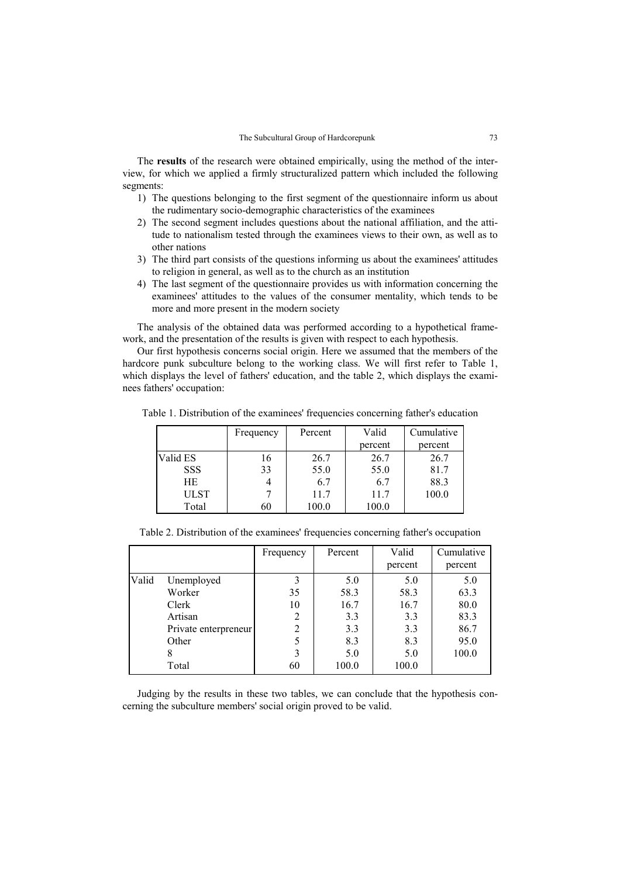The **results** of the research were obtained empirically, using the method of the interview, for which we applied a firmly structuralized pattern which included the following segments:

- 1) The questions belonging to the first segment of the questionnaire inform us about the rudimentary socio-demographic characteristics of the examinees
- 2) The second segment includes questions about the national affiliation, and the attitude to nationalism tested through the examinees views to their own, as well as to other nations
- 3) The third part consists of the questions informing us about the examinees' attitudes to religion in general, as well as to the church as an institution
- 4) The last segment of the questionnaire provides us with information concerning the examinees' attitudes to the values of the consumer mentality, which tends to be more and more present in the modern society

The analysis of the obtained data was performed according to a hypothetical framework, and the presentation of the results is given with respect to each hypothesis.

Our first hypothesis concerns social origin. Here we assumed that the members of the hardcore punk subculture belong to the working class. We will first refer to Table 1, which displays the level of fathers' education, and the table 2, which displays the examinees fathers' occupation:

Table 1. Distribution of the examinees' frequencies concerning father's education

|             | Frequency | Percent | Valid   | Cumulative |
|-------------|-----------|---------|---------|------------|
|             |           |         | percent | percent    |
| Valid ES    | 16        | 26.7    | 26.7    | 26.7       |
| <b>SSS</b>  | 33        | 55.0    | 55.0    | 81.7       |
| HE          |           | 6.7     | 6.7     | 88.3       |
| <b>ULST</b> |           | 11.7    | 11.7    | 100.0      |
| Total       | 60        | 100.0   | 100.0   |            |

| Table 2. Distribution of the examinees' frequencies concerning father's occupation |  |  |  |
|------------------------------------------------------------------------------------|--|--|--|
|                                                                                    |  |  |  |

|       |                      | Frequency      | Percent | Valid   | Cumulative |
|-------|----------------------|----------------|---------|---------|------------|
|       |                      |                |         | percent | percent    |
| Valid | Unemployed           | 3              | 5.0     | 5.0     | 5.0        |
|       | Worker               | 35             | 58.3    | 58.3    | 63.3       |
|       | Clerk                | 10             | 16.7    | 16.7    | 80.0       |
|       | Artisan              | 2              | 3.3     | 3.3     | 83.3       |
|       | Private enterpreneur | $\overline{2}$ | 3.3     | 3.3     | 86.7       |
|       | Other                | 5              | 8.3     | 8.3     | 95.0       |
|       | 8                    | 3              | 5.0     | 5.0     | 100.0      |
|       | Total                | 60             | 100.0   | 100.0   |            |

Judging by the results in these two tables, we can conclude that the hypothesis concerning the subculture members' social origin proved to be valid.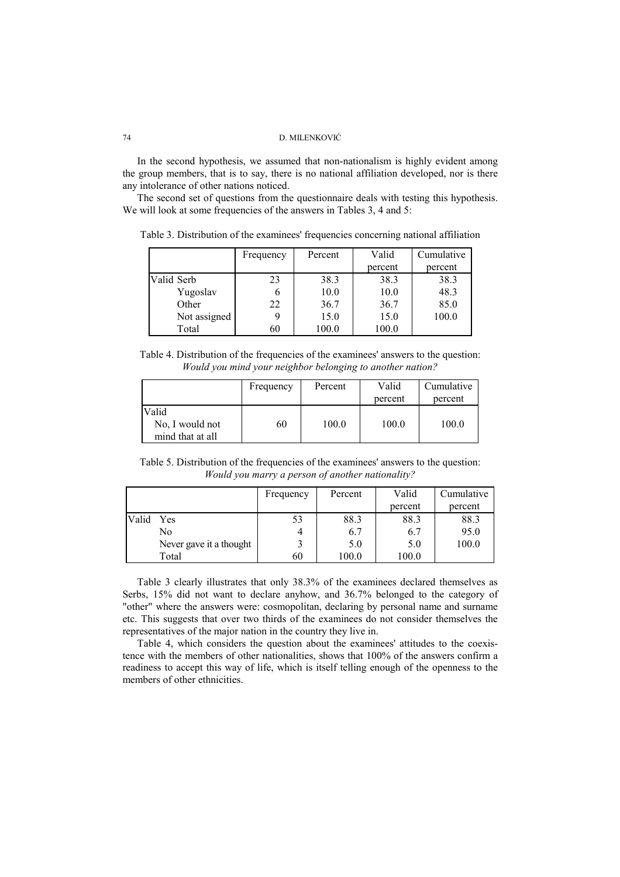In the second hypothesis, we assumed that non-nationalism is highly evident among the group members, that is to say, there is no national affiliation developed, nor is there any intolerance of other nations noticed.

The second set of questions from the questionnaire deals with testing this hypothesis. We will look at some frequencies of the answers in Tables 3, 4 and 5:

Table 3. Distribution of the examinees' frequencies concerning national affiliation

|              | Frequency | Percent | Valid   | Cumulative |
|--------------|-----------|---------|---------|------------|
|              |           |         | percent | percent    |
| Valid Serb   | 23        | 38.3    | 38.3    | 38.3       |
| Yugoslav     |           | 10.0    | 10.0    | 48.3       |
| Other        | 22        | 36.7    | 36.7    | 85.0       |
| Not assigned |           | 15.0    | 15.0    | 100.0      |
| Total        | 60        | 100.0   | 100.0   |            |

Table 4. Distribution of the frequencies of the examinees' answers to the question: *Would you mind your neighbor belonging to another nation?*

|                                              | Frequency | Percent | Valid<br>percent | Cumulative<br>percent |
|----------------------------------------------|-----------|---------|------------------|-----------------------|
| Valid<br>No, I would not<br>mind that at all | 60        | 100.0   | 100.0            | 100.0                 |

Table 5. Distribution of the frequencies of the examinees' answers to the question: *Would you marry a person of another nationality?*

|              |                         | Frequency | Percent | Valid   | Cumulative |
|--------------|-------------------------|-----------|---------|---------|------------|
|              |                         |           |         | percent | percent    |
| Valid<br>Yes |                         | 53        | 88.3    | 88.3    | 88.3       |
| No           |                         |           | 6.7     | 6.7     | 95.0       |
|              | Never gave it a thought |           | 5.0     | 5.0     | 100.0      |
| Total        |                         | 60        | 100.0   | 100.0   |            |

Table 3 clearly illustrates that only 38.3% of the examinees declared themselves as Serbs, 15% did not want to declare anyhow, and 36.7% belonged to the category of "other" where the answers were: cosmopolitan, declaring by personal name and surname etc. This suggests that over two thirds of the examinees do not consider themselves the representatives of the major nation in the country they live in.

Table 4, which considers the question about the examinees' attitudes to the coexistence with the members of other nationalities, shows that 100% of the answers confirm a readiness to accept this way of life, which is itself telling enough of the openness to the members of other ethnicities.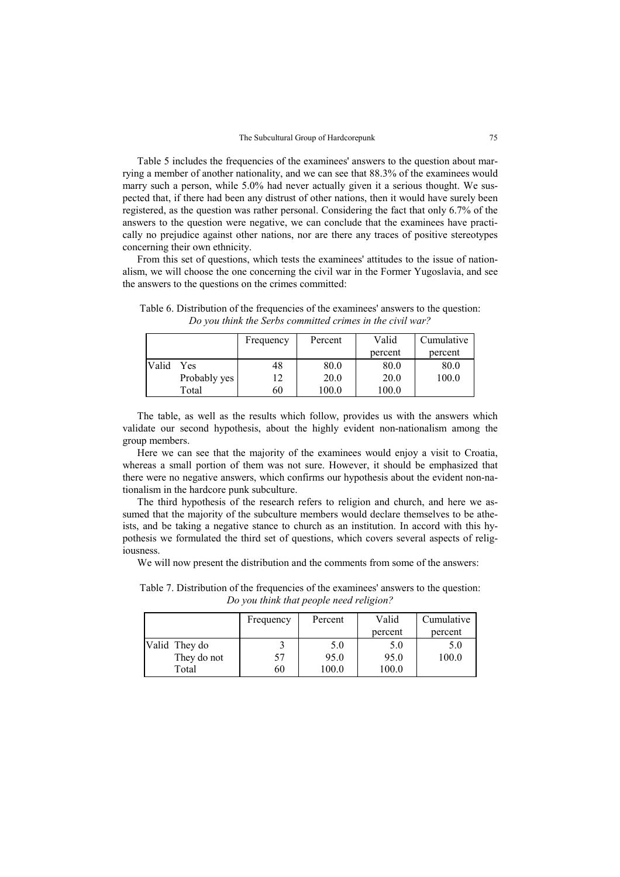Table 5 includes the frequencies of the examinees' answers to the question about marrying a member of another nationality, and we can see that 88.3% of the examinees would marry such a person, while 5.0% had never actually given it a serious thought. We suspected that, if there had been any distrust of other nations, then it would have surely been registered, as the question was rather personal. Considering the fact that only 6.7% of the answers to the question were negative, we can conclude that the examinees have practically no prejudice against other nations, nor are there any traces of positive stereotypes concerning their own ethnicity.

From this set of questions, which tests the examinees' attitudes to the issue of nationalism, we will choose the one concerning the civil war in the Former Yugoslavia, and see the answers to the questions on the crimes committed:

|       |              | Frequency | Percent | Valid   | Cumulative |
|-------|--------------|-----------|---------|---------|------------|
|       |              |           |         | percent | percent    |
| Valid | Yes          | 48        | 80.0    | 80.0    | 80.0       |
|       | Probably yes | 12        | 20.0    | 20.0    | 100.0      |
|       | Total        | 60        | 100.0   | 100.0   |            |

Table 6. Distribution of the frequencies of the examinees' answers to the question: *Do you think the Serbs committed crimes in the civil war?* 

The table, as well as the results which follow, provides us with the answers which validate our second hypothesis, about the highly evident non-nationalism among the group members.

Here we can see that the majority of the examinees would enjoy a visit to Croatia, whereas a small portion of them was not sure. However, it should be emphasized that there were no negative answers, which confirms our hypothesis about the evident non-nationalism in the hardcore punk subculture.

The third hypothesis of the research refers to religion and church, and here we assumed that the majority of the subculture members would declare themselves to be atheists, and be taking a negative stance to church as an institution. In accord with this hypothesis we formulated the third set of questions, which covers several aspects of religiousness.

We will now present the distribution and the comments from some of the answers:

Table 7. Distribution of the frequencies of the examinees' answers to the question: *Do you think that people need religion?* 

|               | Frequency | Percent | Valid   | Cumulative |
|---------------|-----------|---------|---------|------------|
|               |           |         | percent | percent    |
| Valid They do |           | 5.0     | 5.0     | 5.0        |
| They do not   | 57        | 95.0    | 95.0    | 100.0      |
| Total         | 60        | 100.0   | 100.0   |            |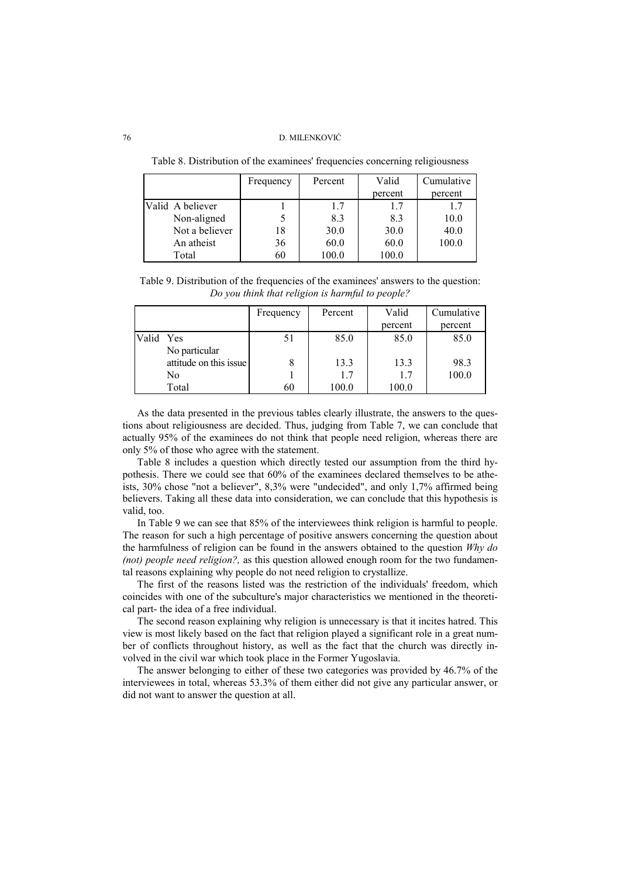Frequency Percent Valid percent Cumulative percent Valid A believer Non-aligned Not a believer An atheist Total 1 5 18 36 60 1.7 8.3 30.0 60.0 100.0 1.7 8.3 30.0 60.0 100.0 1.7 10.0 40.0 100.0

Table 8. Distribution of the examinees' frequencies concerning religiousness

Table 9. Distribution of the frequencies of the examinees' answers to the question: *Do you think that religion is harmful to people?* 

|           |                        | Frequency | Percent | Valid   | Cumulative |
|-----------|------------------------|-----------|---------|---------|------------|
|           |                        |           |         | percent | percent    |
| Valid Yes |                        | 51        | 85.0    | 85.0    | 85.0       |
|           | No particular          |           |         |         |            |
|           | attitude on this issue |           | 13.3    | 13.3    | 98.3       |
|           | No                     |           | 1.7     | 1.7     | 100.0      |
|           | Total                  | 60        | 100.0   | 100.0   |            |

As the data presented in the previous tables clearly illustrate, the answers to the questions about religiousness are decided. Thus, judging from Table 7, we can conclude that actually 95% of the examinees do not think that people need religion, whereas there are only 5% of those who agree with the statement.

Table 8 includes a question which directly tested our assumption from the third hypothesis. There we could see that 60% of the examinees declared themselves to be atheists, 30% chose "not a believer", 8,3% were "undecided", and only 1,7% affirmed being believers. Taking all these data into consideration, we can conclude that this hypothesis is valid, too.

In Table 9 we can see that 85% of the interviewees think religion is harmful to people. The reason for such a high percentage of positive answers concerning the question about the harmfulness of religion can be found in the answers obtained to the question *Why do (not) people need religion?*, as this question allowed enough room for the two fundamental reasons explaining why people do not need religion to crystallize.

The first of the reasons listed was the restriction of the individuals' freedom, which coincides with one of the subculture's major characteristics we mentioned in the theoretical part- the idea of a free individual.

The second reason explaining why religion is unnecessary is that it incites hatred. This view is most likely based on the fact that religion played a significant role in a great number of conflicts throughout history, as well as the fact that the church was directly involved in the civil war which took place in the Former Yugoslavia.

The answer belonging to either of these two categories was provided by 46.7% of the interviewees in total, whereas 53.3% of them either did not give any particular answer, or did not want to answer the question at all.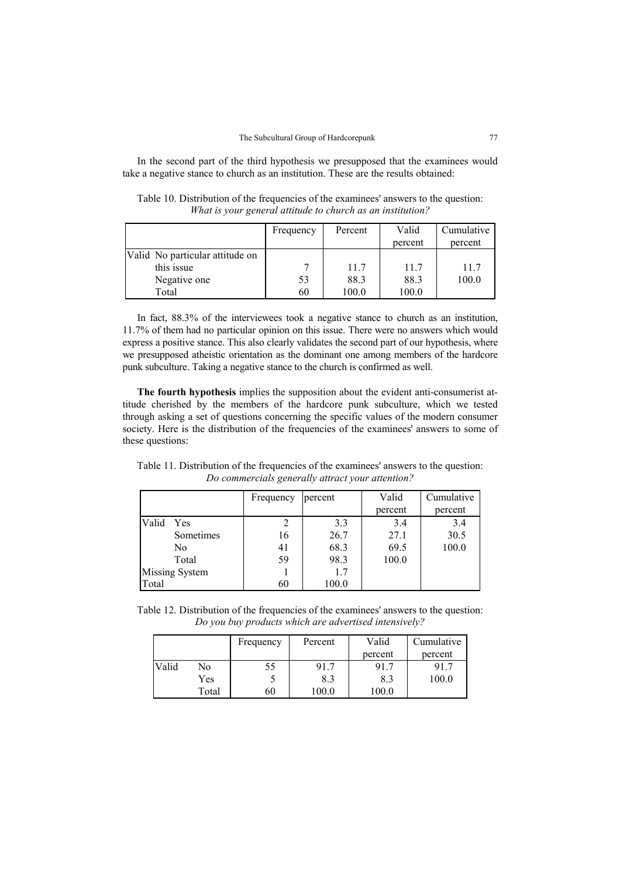In the second part of the third hypothesis we presupposed that the examinees would take a negative stance to church as an institution. These are the results obtained:

Table 10. Distribution of the frequencies of the examinees' answers to the question: *What is your general attitude to church as an institution?* 

|                                 | Frequency | Percent | Valid   | Cumulative |
|---------------------------------|-----------|---------|---------|------------|
|                                 |           |         | percent | percent    |
| Valid No particular attitude on |           |         |         |            |
| this issue                      |           | 11.7    | 11.7    | 11.7       |
| Negative one                    | 53        | 88.3    | 88.3    | 100.0      |
| Total                           | 60        | 100.0   | 100.0   |            |

In fact, 88.3% of the interviewees took a negative stance to church as an institution, 11.7% of them had no particular opinion on this issue. There were no answers which would express a positive stance. This also clearly validates the second part of our hypothesis, where we presupposed atheistic orientation as the dominant one among members of the hardcore punk subculture. Taking a negative stance to the church is confirmed as well.

**The fourth hypothesis** implies the supposition about the evident anti-consumerist attitude cherished by the members of the hardcore punk subculture, which we tested through asking a set of questions concerning the specific values of the modern consumer society. Here is the distribution of the frequencies of the examinees' answers to some of these questions:

Table 11. Distribution of the frequencies of the examinees' answers to the question: *Do commercials generally attract your attention?* 

|       |                       | Frequency | percent | Valid   | Cumulative |
|-------|-----------------------|-----------|---------|---------|------------|
|       |                       |           |         | percent | percent    |
| Valid | Yes                   |           | 3.3     | 3.4     | 3.4        |
|       | Sometimes             | 16        | 26.7    | 27.1    | 30.5       |
|       | No                    | 41        | 68.3    | 69.5    | 100.0      |
|       | Total                 | 59        | 98.3    | 100.0   |            |
|       | <b>Missing System</b> |           | 1.7     |         |            |
| Total |                       | 60        | 100.0   |         |            |

Table 12. Distribution of the frequencies of the examinees' answers to the question: *Do you buy products which are advertised intensively?* 

|       |       | Frequency | Percent | Valid   | Cumulative |
|-------|-------|-----------|---------|---------|------------|
|       |       |           |         | percent | percent    |
| Valid | No    | 55        | 91.7    | 91.7    | 91.7       |
|       | Yes   |           | 8.3     | 8.3     | 100.0      |
|       | Total | 60        | 100.0   | 0.00    |            |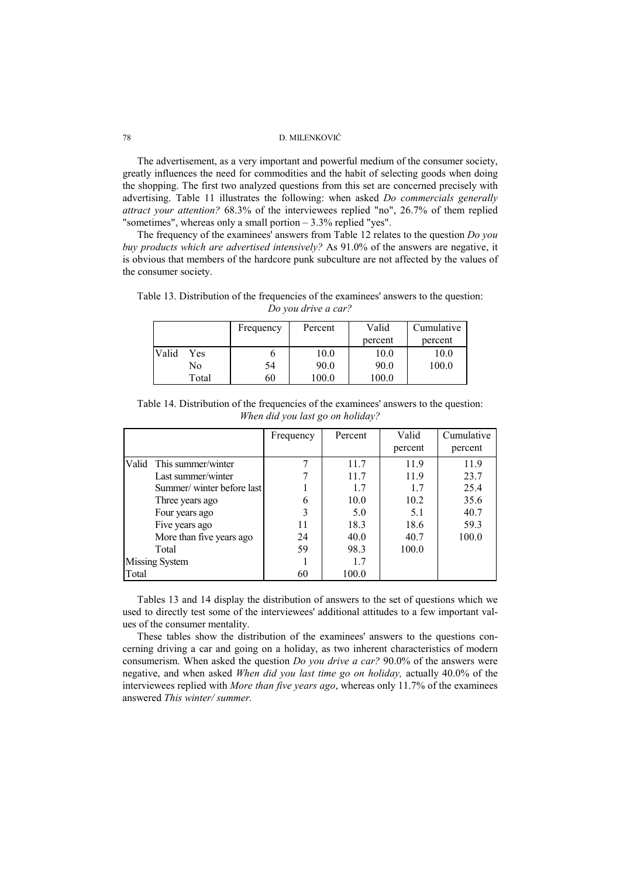The advertisement, as a very important and powerful medium of the consumer society, greatly influences the need for commodities and the habit of selecting goods when doing the shopping. The first two analyzed questions from this set are concerned precisely with advertising. Table 11 illustrates the following: when asked *Do commercials generally attract your attention?* 68.3% of the interviewees replied "no", 26.7% of them replied "sometimes", whereas only a small portion – 3.3% replied "yes".

The frequency of the examinees' answers from Table 12 relates to the question *Do you buy products which are advertised intensively?* As 91.0% of the answers are negative, it is obvious that members of the hardcore punk subculture are not affected by the values of the consumer society.

Table 13. Distribution of the frequencies of the examinees' answers to the question: *Do you drive a car?* 

|              | Frequency | Percent | Valid   | Cumulative |
|--------------|-----------|---------|---------|------------|
|              |           |         | percent | percent    |
| Valid<br>Yes |           | 10.0    | 10.0    | 10.0       |
| No           | 54        | 90.0    | 90.0    | 100.0      |
| Total        | 60        | 100.0   | 100.0   |            |

|                                  | Table 14. Distribution of the frequencies of the examinees' answers to the question: |  |  |  |  |  |  |  |
|----------------------------------|--------------------------------------------------------------------------------------|--|--|--|--|--|--|--|
| When did you last go on holiday? |                                                                                      |  |  |  |  |  |  |  |

|                |                           | Frequency | Percent | Valid   | Cumulative |
|----------------|---------------------------|-----------|---------|---------|------------|
|                |                           |           |         | percent | percent    |
|                | Valid This summer/winter  |           | 11.7    | 11.9    | 11.9       |
|                | Last summer/winter        |           | 11.7    | 11.9    | 23.7       |
|                | Summer/winter before last |           | 1.7     | 1.7     | 25.4       |
|                | Three years ago           | 6         | 10.0    | 10.2    | 35.6       |
|                | Four years ago            | 3         | 5.0     | 5.1     | 40.7       |
|                | Five years ago            | 11        | 18.3    | 18.6    | 59.3       |
|                | More than five years ago  | 24        | 40.0    | 40.7    | 100.0      |
|                | Total                     | 59        | 98.3    | 100.0   |            |
| Missing System |                           |           | 1.7     |         |            |
| Total          |                           | 60        | 100.0   |         |            |

Tables 13 and 14 display the distribution of answers to the set of questions which we used to directly test some of the interviewees' additional attitudes to a few important values of the consumer mentality.

These tables show the distribution of the examinees' answers to the questions concerning driving a car and going on a holiday, as two inherent characteristics of modern consumerism. When asked the question *Do you drive a car?* 90.0% of the answers were negative, and when asked *When did you last time go on holiday,* actually 40.0% of the interviewees replied with *More than five years ago*, whereas only 11.7% of the examinees answered *This winter/ summer.*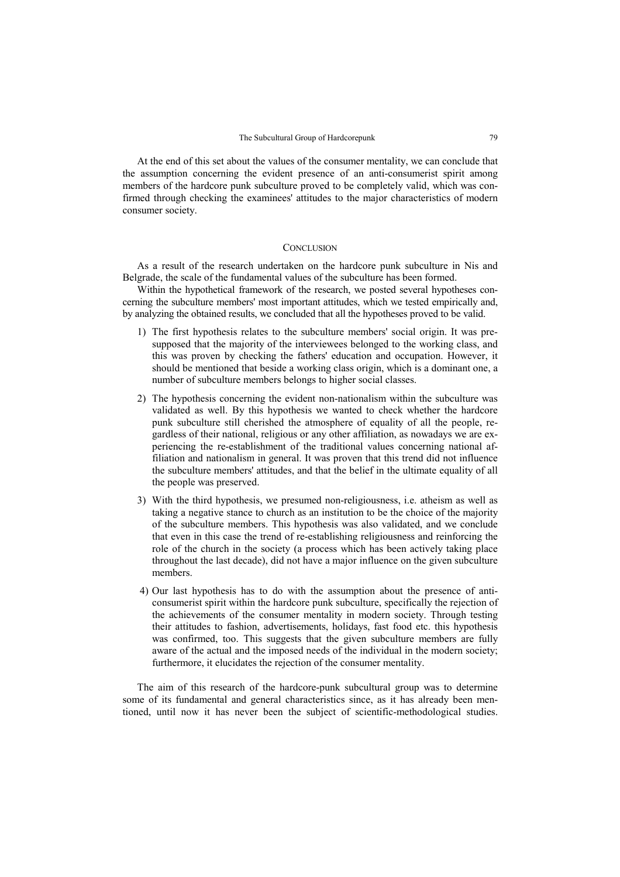At the end of this set about the values of the consumer mentality, we can conclude that the assumption concerning the evident presence of an anti-consumerist spirit among members of the hardcore punk subculture proved to be completely valid, which was confirmed through checking the examinees' attitudes to the major characteristics of modern consumer society.

### **CONCLUSION**

As a result of the research undertaken on the hardcore punk subculture in Nis and Belgrade, the scale of the fundamental values of the subculture has been formed.

Within the hypothetical framework of the research, we posted several hypotheses concerning the subculture members' most important attitudes, which we tested empirically and, by analyzing the obtained results, we concluded that all the hypotheses proved to be valid.

- 1) The first hypothesis relates to the subculture members' social origin. It was presupposed that the majority of the interviewees belonged to the working class, and this was proven by checking the fathers' education and occupation. However, it should be mentioned that beside a working class origin, which is a dominant one, a number of subculture members belongs to higher social classes.
- 2) The hypothesis concerning the evident non-nationalism within the subculture was validated as well. By this hypothesis we wanted to check whether the hardcore punk subculture still cherished the atmosphere of equality of all the people, regardless of their national, religious or any other affiliation, as nowadays we are experiencing the re-establishment of the traditional values concerning national affiliation and nationalism in general. It was proven that this trend did not influence the subculture members' attitudes, and that the belief in the ultimate equality of all the people was preserved.
- 3) With the third hypothesis, we presumed non-religiousness, i.e. atheism as well as taking a negative stance to church as an institution to be the choice of the majority of the subculture members. This hypothesis was also validated, and we conclude that even in this case the trend of re-establishing religiousness and reinforcing the role of the church in the society (a process which has been actively taking place throughout the last decade), did not have a major influence on the given subculture members.
- 4) Our last hypothesis has to do with the assumption about the presence of anticonsumerist spirit within the hardcore punk subculture, specifically the rejection of the achievements of the consumer mentality in modern society. Through testing their attitudes to fashion, advertisements, holidays, fast food etc. this hypothesis was confirmed, too. This suggests that the given subculture members are fully aware of the actual and the imposed needs of the individual in the modern society; furthermore, it elucidates the rejection of the consumer mentality.

The aim of this research of the hardcore-punk subcultural group was to determine some of its fundamental and general characteristics since, as it has already been mentioned, until now it has never been the subject of scientific-methodological studies.